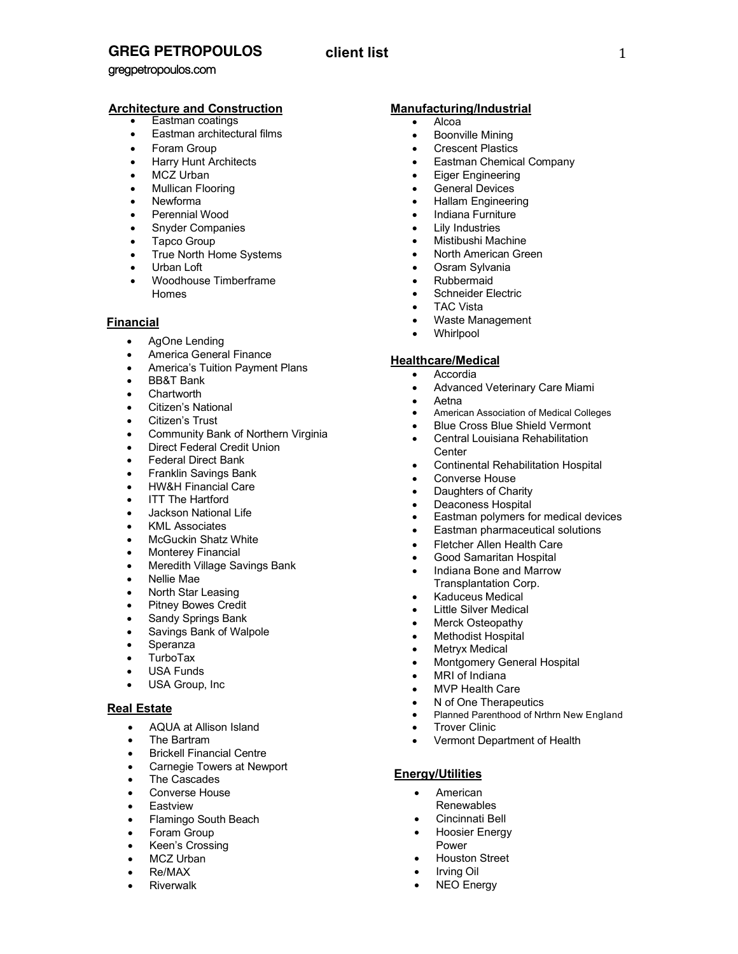# **GREG PETROPOULOS**

# **client list** 1

gregpetropoulos.com

# **Architecture and Construction**

- Eastman coatings
- Eastman architectural films
- Foram Group
- Harry Hunt Architects
- MCZ Urban
- Mullican Flooring
- Newforma
- Perennial Wood
- Snyder Companies
- Tapco Group
- True North Home Systems
- Urban Loft
- Woodhouse Timberframe Homes

## **Financial**

- AgOne Lending
- America General Finance
- America's Tuition Payment Plans
- BB&T Bank
- **Chartworth**
- Citizen's National
- Citizen's Trust
- Community Bank of Northern Virginia
- Direct Federal Credit Union
- Federal Direct Bank
- Franklin Savings Bank
- HW&H Financial Care
- **ITT The Hartford**
- Jackson National Life
- KML Associates
- McGuckin Shatz White
- Monterey Financial
- Meredith Village Savings Bank
- Nellie Mae
- North Star Leasing
- Pitney Bowes Credit
- Sandy Springs Bank
- Savings Bank of Walpole
- **Speranza**
- **TurboTax**
- USA Funds
- USA Group, Inc.

## **Real Estate**

- AQUA at Allison Island
- The Bartram
- Brickell Financial Centre
- Carnegie Towers at Newport
- The Cascades
- Converse House
- Eastview
- Flamingo South Beach
- Foram Group
- Keen's Crossing
- MCZ Urban
- Re/MAX
- **Riverwalk**

## **Manufacturing/Industrial**

- Alcoa
- Boonville Mining
- **Crescent Plastics**
- Eastman Chemical Company
- Eiger Engineering
- General Devices
- Hallam Engineering
- Indiana Furniture
- Lily Industries
- Mistibushi Machine
- North American Green
- Osram Sylvania
- Rubbermaid
- Schneider Electric
- TAC Vista
- Waste Management
- Whirlpool

## **Healthcare/Medical**

- **Accordia**
- Advanced Veterinary Care Miami
- Aetna
- American Association of Medical Colleges
- **Blue Cross Blue Shield Vermont**
- Central Louisiana Rehabilitation **Center**
- Continental Rehabilitation Hospital
- Converse House
- Daughters of Charity
- Deaconess Hospital
- Eastman polymers for medical devices
- Eastman pharmaceutical solutions
- **Fletcher Allen Health Care**
- Good Samaritan Hospital
- Indiana Bone and Marrow Transplantation Corp.
- Kaduceus Medical
- **Little Silver Medical**
- Merck Osteopathy
- **Methodist Hospital**

**MVP Health Care** N of One Therapeutics

- Metryx Medical
- Montgomery General Hospital

• Vermont Department of Health

• Planned Parenthood of Nrthrn New England

• MRI of Indiana

**Trover Clinic** 

• American Renewables • Cincinnati Bell • Hoosier Energy

Power

• Houston Street • Irving Oil **NEO Energy** 

**Energy/Utilities**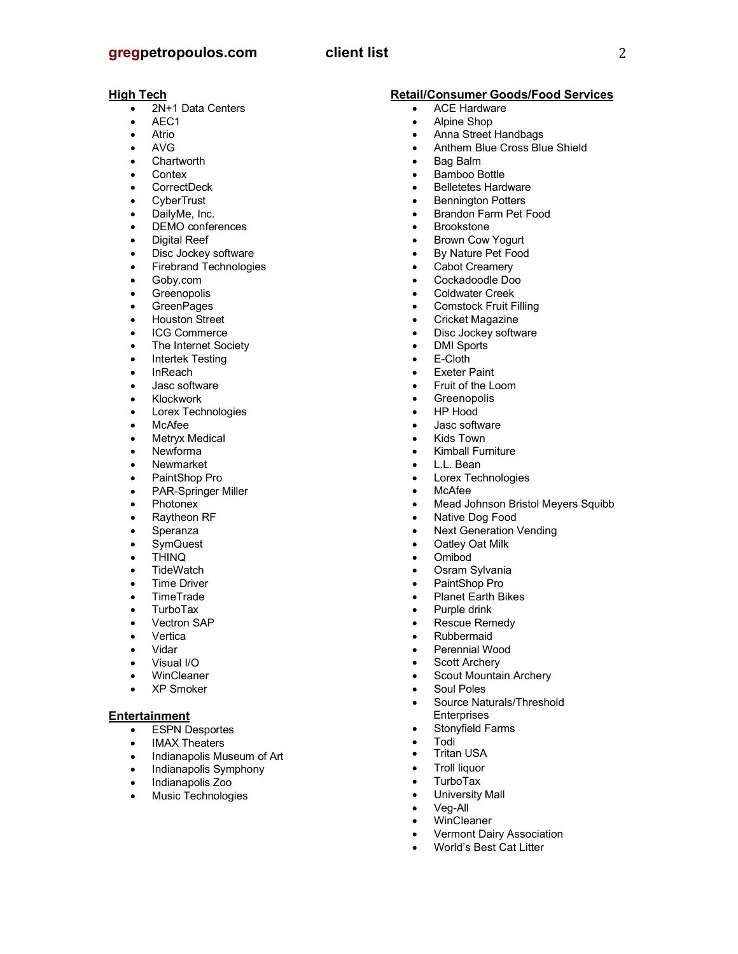# **gregpetropoulos.com client list** 2

#### **High Tech**

- 2N+1 Data Centers
- AEC1
- Atrio
- AVG
- **Chartworth**
- **Contex**
- CorrectDeck
- **CyberTrust**
- DailyMe, Inc.
- DEMO conferences
- Digital Reef
- Disc Jockey software
- Firebrand Technologies
- Goby.com
- **Greenopolis**
- GreenPages
- Houston Street
- ICG Commerce
- The Internet Society
- Intertek Testing
- InReach
- Jasc software
- **Klockwork**
- Lorex Technologies
- McAfee
- Metryx Medical
- Newforma
- **Newmarket**
- PaintShop Pro
- PAR-Springer Miller
- Photonex
- Raytheon RF
- **Speranza**
- **SymQuest**
- THINQ
- **TideWatch**
- Time Driver
- TimeTrade
- TurboTax
- Vectron SAP
- **Vertica**
- Vidar
- Visual I/O
- WinCleaner
- XP Smoker

### **Entertainment**

- ESPN Desportes
- IMAX Theaters<br>• Indiananolis Mu
- Indianapolis Museum of Art
- Indianapolis Symphony
- Indianapolis Zoo
- Music Technologies

#### **Retail/Consumer Goods/Food Services**

- ACE Hardware
- Alpine Shop
- Anna Street Handbags
- Anthem Blue Cross Blue Shield
- Bag Balm
- Bamboo Bottle
- Belletetes Hardware
- **Bennington Potters** • Brandon Farm Pet Food
- **Brookstone**
- Brown Cow Yogurt
- By Nature Pet Food
- Cabot Creamery
- Cockadoodle Doo
- Coldwater Creek
- Comstock Fruit Filling
- Cricket Magazine
- Disc Jockey software
- DMI Sports
- E-Cloth
- **Exeter Paint**
- Fruit of the Loom
- Greenopolis
- HP Hood
- Jasc software
- Kids Town
- Kimball Furniture
- L.L. Bean
- Lorex Technologies
- McAfee
- Mead Johnson Bristol Meyers Squibb
- Native Dog Food
- **Next Generation Vending**
- Oatley Oat Milk
- Omibod
- Osram Sylvania
- PaintShop Pro
- Planet Earth Bikes
- Purple drink
- Rescue Remedy
- Rubbermaid
- Perennial Wood

**Enterprises** Stonyfield Farms

• University Mall • Veg-All **WinCleaner** 

• Vermont Dairy Association • World's Best Cat Litter

- Scott Archery
- Scout Mountain Archery
- Soul Poles Source Naturals/Threshold

• Todi • Tritan USA • Troll liquor • TurboTax